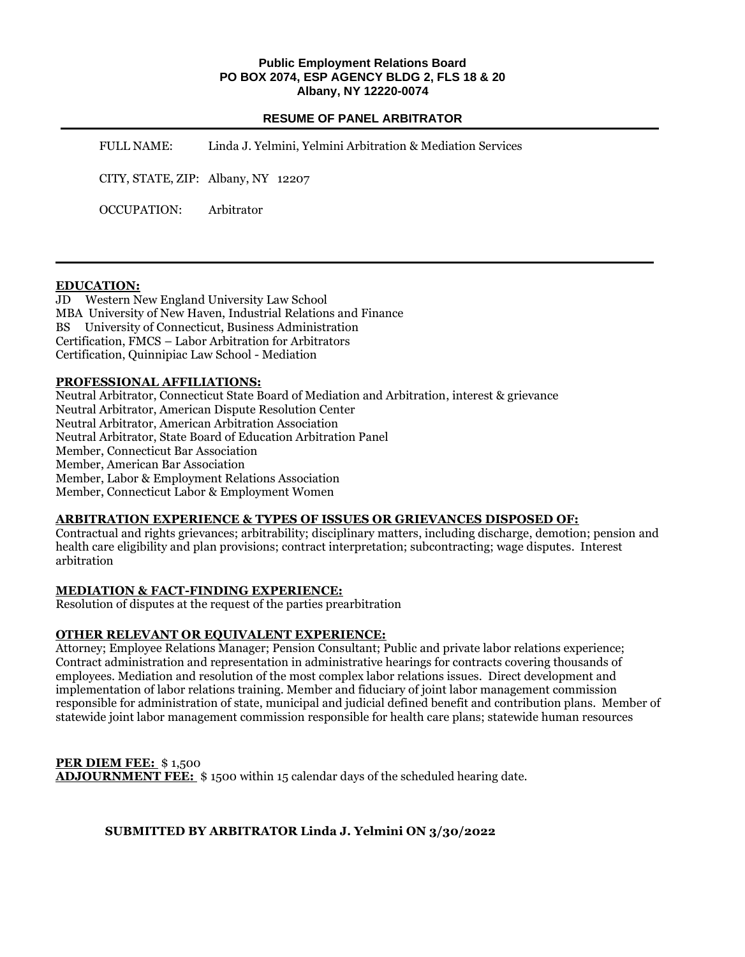#### **Public Employment Relations Board PO BOX 2074, ESP AGENCY BLDG 2, FLS 18 & 20 Albany, NY 12220-0074**

## **RESUME OF PANEL ARBITRATOR**

FULL NAME: Linda J. Yelmini, Yelmini Arbitration & Mediation Services CITY, STATE, ZIP: Albany, NY 12207 OCCUPATION: Arbitrator

#### **EDUCATION:**

JD Western New England University Law School MBA University of New Haven, Industrial Relations and Finance BS University of Connecticut, Business Administration Certification, FMCS – Labor Arbitration for Arbitrators Certification, Quinnipiac Law School - Mediation

#### **PROFESSIONAL AFFILIATIONS:**

Neutral Arbitrator, Connecticut State Board of Mediation and Arbitration, interest & grievance Neutral Arbitrator, American Dispute Resolution Center Neutral Arbitrator, American Arbitration Association Neutral Arbitrator, State Board of Education Arbitration Panel Member, Connecticut Bar Association Member, American Bar Association Member, Labor & Employment Relations Association Member, Connecticut Labor & Employment Women

# **ARBITRATION EXPERIENCE & TYPES OF ISSUES OR GRIEVANCES DISPOSED OF:**

Contractual and rights grievances; arbitrability; disciplinary matters, including discharge, demotion; pension and health care eligibility and plan provisions; contract interpretation; subcontracting; wage disputes. Interest arbitration

## **MEDIATION & FACT-FINDING EXPERIENCE:**

Resolution of disputes at the request of the parties prearbitration

# **OTHER RELEVANT OR EQUIVALENT EXPERIENCE:**

Attorney; Employee Relations Manager; Pension Consultant; Public and private labor relations experience; Contract administration and representation in administrative hearings for contracts covering thousands of employees. Mediation and resolution of the most complex labor relations issues. Direct development and implementation of labor relations training. Member and fiduciary of joint labor management commission responsible for administration of state, municipal and judicial defined benefit and contribution plans. Member of statewide joint labor management commission responsible for health care plans; statewide human resources

**PER DIEM FEE:** \$ 1,500 **ADJOURNMENT FEE:** \$ 1500 within 15 calendar days of the scheduled hearing date.

## **SUBMITTED BY ARBITRATOR Linda J. Yelmini ON 3/30/2022**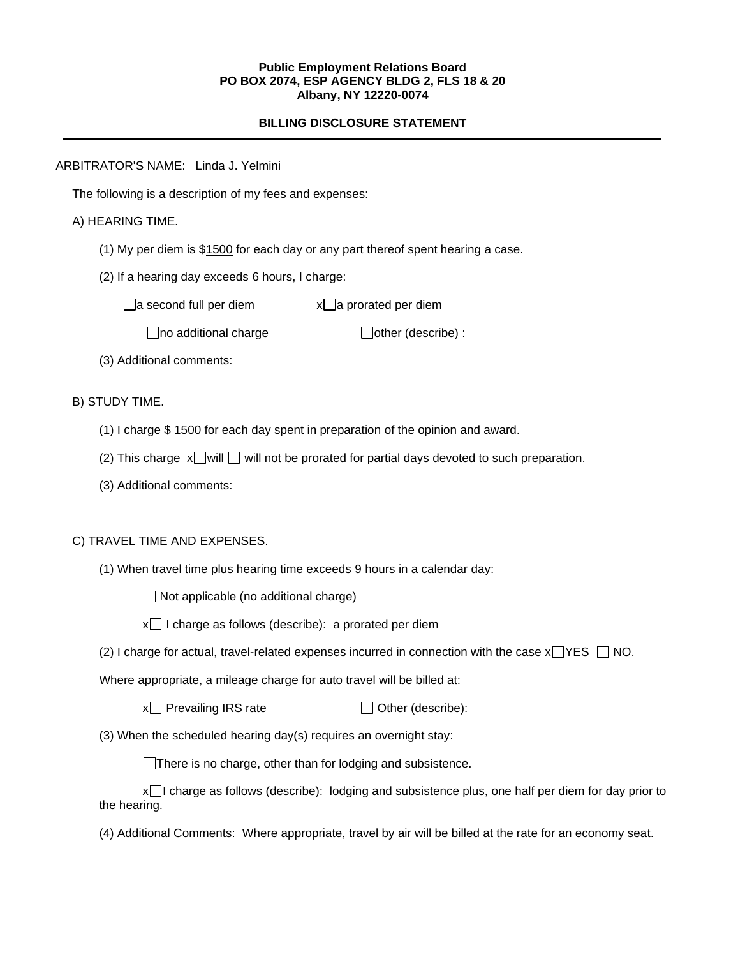#### **Public Employment Relations Board PO BOX 2074, ESP AGENCY BLDG 2, FLS 18 & 20 Albany, NY 12220-0074**

## **BILLING DISCLOSURE STATEMENT**

ARBITRATOR'S NAME: Linda J. Yelmini

The following is a description of my fees and expenses:

## A) HEARING TIME.

- (1) My per diem is \$1500 for each day or any part thereof spent hearing a case.
- (2) If a hearing day exceeds 6 hours, I charge:

 $\Box$ a second full per diem  $x\Box$ a prorated per diem

 $\Box$ no additional charge  $\Box$ other (describe) :

(3) Additional comments:

B) STUDY TIME.

- (1) I charge \$ 1500 for each day spent in preparation of the opinion and award.
- (2) This charge  $x$  will  $\Box$  will not be prorated for partial days devoted to such preparation.
- (3) Additional comments:

## C) TRAVEL TIME AND EXPENSES.

(1) When travel time plus hearing time exceeds 9 hours in a calendar day:

 $\Box$  Not applicable (no additional charge)

 $x \square$  I charge as follows (describe): a prorated per diem

(2) I charge for actual, travel-related expenses incurred in connection with the case  $x \rightarrow YES$   $\Box$  NO.

Where appropriate, a mileage charge for auto travel will be billed at:

 $x \cap P$  Prevailing IRS rate  $\Box$  Other (describe):

(3) When the scheduled hearing day(s) requires an overnight stay:

There is no charge, other than for lodging and subsistence.

x I charge as follows (describe): lodging and subsistence plus, one half per diem for day prior to the hearing.

(4) Additional Comments: Where appropriate, travel by air will be billed at the rate for an economy seat.